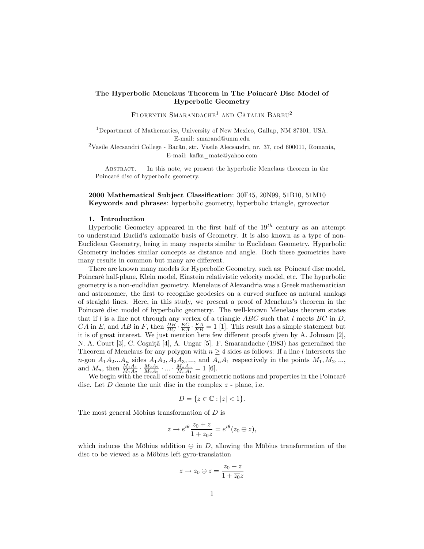## The Hyperbolic Menelaus Theorem in The PoincarÈ Disc Model of Hyperbolic Geometry

 $\tt FLORENTIN$  SMARANDACHE<sup>1</sup> AND CĂTĂLIN BARBU<sup>2</sup>

<sup>1</sup>Department of Mathematics, University of New Mexico, Gallup, NM 87301, USA. E-mail: smarand@unm.edu

 $2$ Vasile Alecsandri College - Bacău, str. Vasile Alecsandri, nr. 37, cod 600011, Romania, E-mail: kafka\_mate@yahoo.com

Abstract. In this note, we present the hyperbolic Menelaus theorem in the PoincarÈ disc of hyperbolic geometry.

2000 Mathematical Subject Classification:  $30F45$ ,  $20N99$ ,  $51B10$ ,  $51M10$ Keywords and phrases: hyperbolic geometry, hyperbolic triangle, gyrovector

## 1. Introduction

Hyperbolic Geometry appeared in the first half of the  $19<sup>th</sup>$  century as an attempt to understand Euclidís axiomatic basis of Geometry. It is also known as a type of non-Euclidean Geometry, being in many respects similar to Euclidean Geometry. Hyperbolic Geometry includes similar concepts as distance and angle. Both these geometries have many results in common but many are different.

There are known many models for Hyperbolic Geometry, such as: Poincaré disc model, PoincarÈ half-plane, Klein model, Einstein relativistic velocity model, etc. The hyperbolic geometry is a non-euclidian geometry. Menelaus of Alexandria was a Greek mathematician and astronomer, the first to recognize geodesics on a curved surface as natural analogs of straight lines. Here, in this study, we present a proof of Menelaus's theorem in the PoincarÈ disc model of hyperbolic geometry. The well-known Menelaus theorem states that if l is a line not through any vertex of a triangle  $ABC$  such that l meets  $BC$  in D, CA in E, and AB in F, then  $\frac{DB}{DC} \cdot \frac{EC}{EA} \cdot \frac{FA}{FB} = 1$  [1]. This result has a simple statement but it is of great interest. We just mention here few different proofs given by A. Johnson  $[2]$ , N. A. Court [3], C. Coşniţă [4], A. Ungar [5]. F. Smarandache (1983) has generalized the Theorem of Menelaus for any polygon with  $n \geq 4$  sides as follows: If a line l intersects the n-gon  $A_1A_2...A_n$  sides  $A_1A_2, A_2A_3, \ldots$ , and  $A_nA_1$  respectively in the points  $M_1, M_2, \ldots$ , and  $M_n$ , then  $\frac{M_1A_1}{M_1A_2} \cdot \frac{M_2A_2}{M_2A_3} \cdot ... \cdot \frac{M_nA_n}{M_nA_1} = 1$  [6].

We begin with the recall of some basic geometric notions and properties in the Poincaré disc. Let  $D$  denote the unit disc in the complex  $z$  - plane, i.e.

$$
D = \{ z \in \mathbb{C} : |z| < 1 \}.
$$

The most general Möbius transformation of  $D$  is

$$
z \to e^{i\theta} \frac{z_0 + z}{1 + \overline{z_0} z} = e^{i\theta} (z_0 \oplus z),
$$

which induces the Möbius addition  $\oplus$  in D, allowing the Möbius transformation of the disc to be viewed as a Möbius left gyro-translation

$$
z\to z_0\oplus z=\frac{z_0+z}{1+\overline{z_0}z}
$$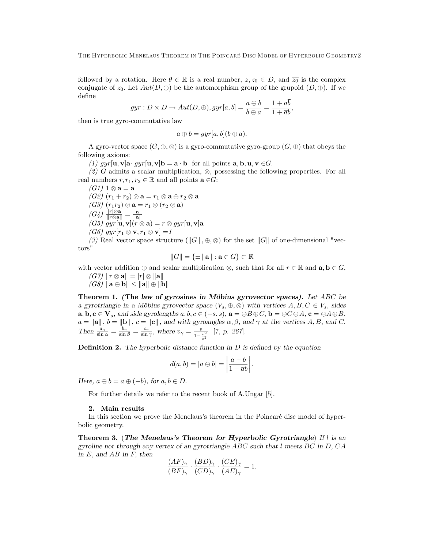followed by a rotation. Here  $\theta \in \mathbb{R}$  is a real number,  $z, z_0 \in D$ , and  $\overline{z_0}$  is the complex conjugate of  $z_0$ . Let  $Aut(D, \oplus)$  be the automorphism group of the grupoid  $(D, \oplus)$ . If we deÖne

$$
gyr: D \times D \to Aut(D, \oplus), gyr[a, b] = \frac{a \oplus b}{b \oplus a} = \frac{1 + ab}{1 + \overline{a}b},
$$

then is true gyro-commutative law

$$
a \oplus b = gyr[a, b](b \oplus a).
$$

A gyro-vector space  $(G, \oplus, \otimes)$  is a gyro-commutative gyro-group  $(G, \oplus)$  that obeys the following axioms:

(1) gyr[u, v]a gyr[u, v]b = a  $\cdot$  b for all points a, b, u, v  $\in G$ .

(2) G admits a scalar multiplication,  $\otimes$ , possessing the following properties. For all real numbers  $r, r_1, r_2 \in \mathbb{R}$  and all points  $\mathbf{a} \in G$ :

 $(G1) 1 \otimes a = a$  $(G2)(r_1+r_2)\otimes \mathbf{a}=r_1\otimes \mathbf{a} \oplus r_2\otimes \mathbf{a}$  $(G3)$   $(r_1r_2) \otimes \mathbf{a} = r_1 \otimes (r_2 \otimes \mathbf{a})$  $(G4)$   $\frac{|r|\otimes a}{\|r\otimes a\|}$  $\left(\begin{matrix} G4 \end{matrix}\right) \frac{|r| \otimes \mathbf{a}}{\|r \otimes \mathbf{a}\|} = \frac{\mathbf{a}}{\|\mathbf{a}\|} \ (G5) \ gyr[\mathbf{u},\mathbf{v}](r \otimes \mathbf{a}) = r \otimes gyr[\mathbf{u},\mathbf{v}]\mathbf{a}$  $(G6)$  gyr $[r_1 \otimes \mathbf{v}, r_1 \otimes \mathbf{v}] = 1$ 

(3) Real vector space structure ( $||G||$ ,  $\oplus$ ,  $\otimes$ ) for the set  $||G||$  of one-dimensional "vectors"

$$
||G|| = \{ \pm ||\mathbf{a}|| : \mathbf{a} \in G \} \subset \mathbb{R}
$$

with vector addition  $\oplus$  and scalar multiplication  $\otimes$ , such that for all  $r \in \mathbb{R}$  and  $\mathbf{a}, \mathbf{b} \in G$ ,  $(G7)$   $\|r \otimes \mathbf{a}\| = |r| \otimes \|\mathbf{a}\|$ 

 $(G8)$   $\|\mathbf{a} \oplus \mathbf{b}\| \leq \|\mathbf{a}\| \oplus \|\mathbf{b}\|$ 

Theorem 1. (The law of gyrosines in Möbius gyrovector spaces). Let  $ABC$  be a gyrotriangle in a Möbius gyrovector space  $(V_s, \oplus, \otimes)$  with vertices  $A, B, C \in V_s$ , sides  $\mathbf{a}, \mathbf{b}, \mathbf{c} \in \mathbf{V}_s$ , and side gyrolengths  $a, b, c \in (-s, s)$ ,  $\mathbf{a} = \bigoplus B \oplus C$ ,  $\mathbf{b} = \bigoplus C \oplus A$ ,  $\mathbf{c} = \bigoplus A \oplus B$ ,  $a = ||\mathbf{a}||$ ,  $b = ||\mathbf{b}||$ ,  $c = ||\mathbf{c}||$ , and with gyroangles  $\alpha, \beta$ , and  $\gamma$  at the vertices  $A, B$ , and  $C$ . Then  $\frac{a_{\gamma}}{\sin \alpha} = \frac{b_{\gamma}}{\sin \beta} = \frac{c_{\gamma}}{\sin \gamma}$ , where  $v_{\gamma} = \frac{v}{1 - \frac{v^2}{s^2}}$  [7, p. 267].

**Definition 2.** The hyperbolic distance function in  $D$  is defined by the equation

$$
d(a,b) = |a \ominus b| = \left| \frac{a-b}{1 - \overline{a}b} \right|.
$$

Here,  $a \ominus b = a \oplus (-b)$ , for  $a, b \in D$ .

For further details we refer to the recent book of A.Ungar [5].

## 2. Main results

In this section we prove the Menelaus's theorem in the Poincaré disc model of hyperbolic geometry.

Theorem 3. (The Menelaus's Theorem for Hyperbolic Gyrotriangle) If  $l$  is an gyroline not through any vertex of an gyrotriangle  $ABC$  such that l meets  $BC$  in  $D$ ,  $CA$ in  $E$ , and  $AB$  in  $F$ , then

$$
\frac{(AF)_{\gamma}}{(BF)_{\gamma}} \cdot \frac{(BD)_{\gamma}}{(CD)_{\gamma}} \cdot \frac{(CE)_{\gamma}}{(AE)_{\gamma}} = 1.
$$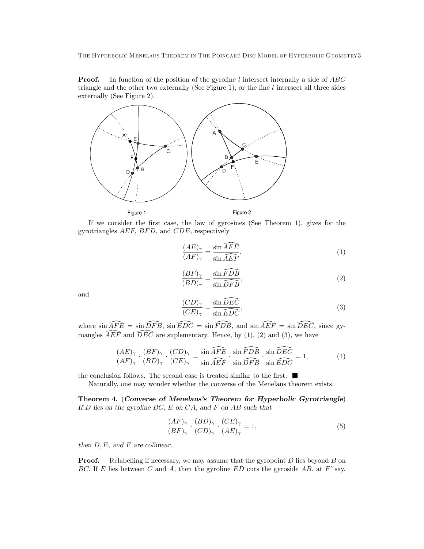The Hyperbolic Menelaus Theorem in The PoincarÈ Disc Model of Hyperbolic Geometry3

**Proof.** In function of the position of the gyroline  $l$  intersect internally a side of  $ABC$ triangle and the other two externally (See Figure 1), or the line  $l$  intersect all three sides externally (See Figure 2).



If we consider the Örst case, the law of gyrosines (See Theorem 1), gives for the gyrotriangles  $AEF$ ,  $BFD$ , and  $CDE$ , respectively

$$
\frac{(AE)_{\gamma}}{(AF)_{\gamma}} = \frac{\sin \widehat{AFE}}{\sin \widehat{AEF}},\tag{1}
$$

$$
\frac{(BF)_{\gamma}}{(BD)_{\gamma}} = \frac{\sin \widehat{F}D\overline{B}}{\sin \widehat{DF}\overline{B}},\tag{2}
$$

and

$$
\frac{(CD)_{\gamma}}{(CE)_{\gamma}} = \frac{\sin \widehat{DEC}}{\sin \widehat{EDC}},\tag{3}
$$

where  $\sin \widehat{AFE} = \sin \widehat{DFB}$ ,  $\sin \widehat{EDC} = \sin \widehat{FDB}$ , and  $\sin \widehat{AEF} = \sin \widehat{DEC}$ , since gyroangles  $\widehat{A}E\widetilde{F}$  and  $\widehat{D}E\widetilde{C}$  are suplementary. Hence, by (1), (2) and (3), we have

$$
\frac{(AE)_{\gamma}}{(AF)_{\gamma}} \cdot \frac{(BF)_{\gamma}}{(BD)_{\gamma}} \cdot \frac{(CD)_{\gamma}}{(CE)_{\gamma}} = \frac{\sin \widehat{AFE}}{\sin \widehat{AEF}} \cdot \frac{\sin \widehat{FDB}}{\sin \widehat{DFB}} \cdot \frac{\sin \widehat{DEC}}{\sin \widehat{EDC}} = 1,\tag{4}
$$

the conclusion follows. The second case is treated similar to the first.  $\blacksquare$ 

Naturally, one may wonder whether the converse of the Menelaus theorem exists.

Theorem 4. (Converse of Menelaus's Theorem for Hyperbolic Gyrotriangle) If  $D$  lies on the gyroline  $BC$ ,  $E$  on  $CA$ , and  $F$  on  $AB$  such that

$$
\frac{(AF)_{\gamma}}{(BF)_{\gamma}} \cdot \frac{(BD)_{\gamma}}{(CD)_{\gamma}} \cdot \frac{(CE)_{\gamma}}{(AE)_{\gamma}} = 1,
$$
\n(5)

then  $D, E$ , and  $F$  are collinear.

**Proof.** Relabelling if necessary, we may assume that the gyropoint  $D$  lies beyond  $B$  on BC. If E lies between C and A, then the gyroline ED cuts the gyroside  $AB$ , at F' say.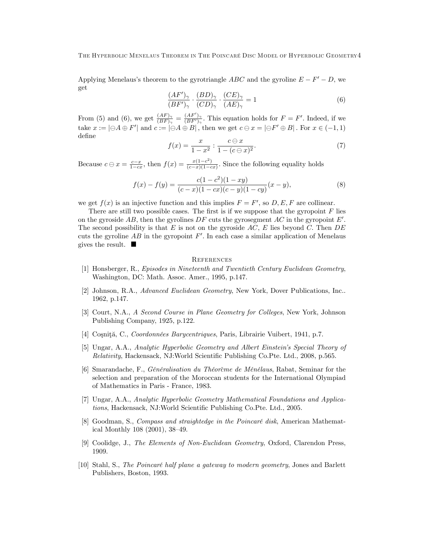Applying Menelaus's theorem to the gyrotriangle  $ABC$  and the gyroline  $E - F' - D$ , we get

$$
\frac{(AF')_{\gamma}}{(BF')_{\gamma}} \cdot \frac{(BD)_{\gamma}}{(CD)_{\gamma}} \cdot \frac{(CE)_{\gamma}}{(AE)_{\gamma}} = 1
$$
\n(6)

From (5) and (6), we get  $\frac{(AF)_{\gamma}}{(BF)_{\gamma}} = \frac{(AF')_{\gamma}}{(BF')_{\gamma}}$  $\frac{(AF_{})\gamma}{(BF')\gamma}$ . This equation holds for  $F = F'$ . Indeed, if we take  $x := |\Theta A \oplus F'|$  and  $c := |\Theta A \oplus B|$ , then we get  $c \ominus x = |\Theta F' \oplus B|$ . For  $x \in (-1, 1)$ deÖne

$$
f(x) = \frac{x}{1 - x^2} : \frac{c \ominus x}{1 - (c \ominus x)^2}.
$$
 (7)

Because  $c \ominus x = \frac{c-x}{1-cx}$ , then  $f(x) = \frac{x(1-c^2)}{(c-x)(1-c)}$  $\frac{x(1-c)}{(c-x)(1-cx)}$ . Since the following equality holds

$$
f(x) - f(y) = \frac{c(1 - c^2)(1 - xy)}{(c - x)(1 - cx)(c - y)(1 - cy)}(x - y),
$$
\n(8)

we get  $f(x)$  is an injective function and this implies  $F = F'$ , so  $D, E, F$  are collinear.

There are still two possible cases. The first is if we suppose that the gyropoint  $F$  lies on the gyroside AB, then the gyrolines  $DF$  cuts the gyrosegment AC in the gyropoint  $E'$ . The second possibility is that  $E$  is not on the gyroside  $AC$ ,  $E$  lies beyond  $C$ . Then  $DE$ cuts the gyroline  $AB$  in the gyropoint  $F'$ . In each case a similar application of Menelaus gives the result.

## **REFERENCES**

- [1] Honsberger, R., Episodes in Nineteenth and Twentieth Century Euclidean Geometry, Washington, DC: Math. Assoc. Amer., 1995, p.147.
- [2] Johnson, R.A., Advanced Euclidean Geometry, New York, Dover Publications, Inc.. 1962, p.147.
- [3] Court, N.A., A Second Course in Plane Geometry for Colleges, New York, Johnson Publishing Company, 1925, p.122.
- [4] Coșniță, C., Coordonnées Barycentriques, Paris, Librairie Vuibert, 1941, p.7.
- [5] Ungar, A.A., Analytic Hyperbolic Geometry and Albert Einsteinís Special Theory of Relativity, Hackensack, NJ:World Scientific Publishing Co.Pte. Ltd., 2008, p.565.
- [6] Smarandache, F., Généralisation du Théorème de Ménélaus, Rabat, Seminar for the selection and preparation of the Moroccan students for the International Olympiad of Mathematics in Paris - France, 1983.
- [7] Ungar, A.A., Analytic Hyperbolic Geometry Mathematical Foundations and Applications, Hackensack, NJ:World Scientific Publishing Co.Pte. Ltd., 2005.
- [8] Goodman, S., Compass and straightedge in the Poincaré disk, American Mathematical Monthly  $108$   $(2001)$ ,  $38-49$ .
- [9] Coolidge, J., The Elements of Non-Euclidean Geometry, Oxford, Clarendon Press, 1909.
- [10] Stahl, S., The Poincaré half plane a gateway to modern geometry, Jones and Barlett Publishers, Boston, 1993.